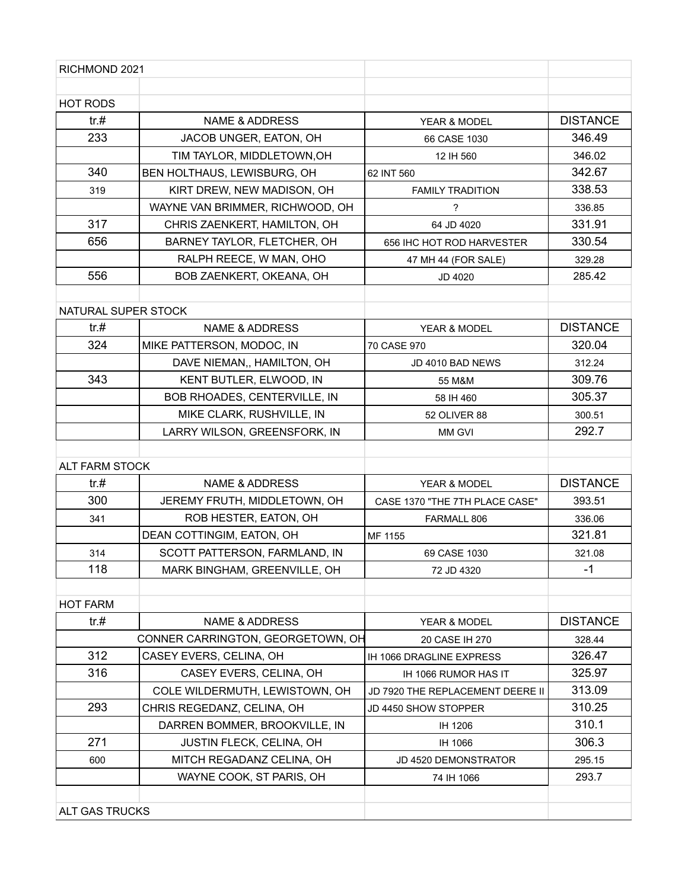| RICHMOND 2021         |                                   |                                  |                 |
|-----------------------|-----------------------------------|----------------------------------|-----------------|
| HOT RODS              |                                   |                                  |                 |
| tr. #                 | NAME & ADDRESS                    | YEAR & MODEL                     | <b>DISTANCE</b> |
| 233                   | JACOB UNGER, EATON, OH            | 66 CASE 1030                     | 346.49          |
|                       | TIM TAYLOR, MIDDLETOWN, OH        | 12 IH 560                        | 346.02          |
| 340                   | BEN HOLTHAUS, LEWISBURG, OH       | 62 INT 560                       | 342.67          |
| 319                   | KIRT DREW, NEW MADISON, OH        | <b>FAMILY TRADITION</b>          | 338.53          |
|                       | WAYNE VAN BRIMMER, RICHWOOD, OH   | ?                                | 336.85          |
| 317                   | CHRIS ZAENKERT, HAMILTON, OH      | 64 JD 4020                       | 331.91          |
| 656                   | BARNEY TAYLOR, FLETCHER, OH       | 656 IHC HOT ROD HARVESTER        | 330.54          |
|                       | RALPH REECE, W MAN, OHO           | 47 MH 44 (FOR SALE)              | 329.28          |
| 556                   | BOB ZAENKERT, OKEANA, OH          | JD 4020                          | 285.42          |
|                       |                                   |                                  |                 |
| NATURAL SUPER STOCK   |                                   |                                  |                 |
| tr.#                  | <b>NAME &amp; ADDRESS</b>         | YEAR & MODEL                     | <b>DISTANCE</b> |
| 324                   | MIKE PATTERSON, MODOC, IN         | 70 CASE 970                      | 320.04          |
|                       | DAVE NIEMAN,, HAMILTON, OH        | JD 4010 BAD NEWS                 | 312.24          |
| 343                   | KENT BUTLER, ELWOOD, IN           | 55 M&M                           | 309.76          |
|                       | BOB RHOADES, CENTERVILLE, IN      | 58 IH 460                        | 305.37          |
|                       | MIKE CLARK, RUSHVILLE, IN         | 52 OLIVER 88                     | 300.51          |
|                       | LARRY WILSON, GREENSFORK, IN      | <b>MM GVI</b>                    | 292.7           |
|                       |                                   |                                  |                 |
| <b>ALT FARM STOCK</b> |                                   |                                  |                 |
| tr. #                 | <b>NAME &amp; ADDRESS</b>         | <b>YEAR &amp; MODEL</b>          | <b>DISTANCE</b> |
| 300                   | JEREMY FRUTH, MIDDLETOWN, OH      | CASE 1370 "THE 7TH PLACE CASE"   | 393.51          |
| 341                   | ROB HESTER, EATON, OH             | FARMALL 806                      | 336.06          |
|                       | DEAN COTTINGIM, EATON, OH         | MF 1155                          | 321.81          |
| 314                   | SCOTT PATTERSON, FARMLAND, IN     | 69 CASE 1030                     | 321.08          |
| 118                   | MARK BINGHAM, GREENVILLE, OH      | 72 JD 4320                       | $-1$            |
|                       |                                   |                                  |                 |
| <b>HOT FARM</b>       |                                   |                                  |                 |
| tr.#                  | <b>NAME &amp; ADDRESS</b>         | YEAR & MODEL                     | <b>DISTANCE</b> |
|                       | CONNER CARRINGTON, GEORGETOWN, OH | 20 CASE IH 270                   | 328.44          |
| 312                   | CASEY EVERS, CELINA, OH           | IH 1066 DRAGLINE EXPRESS         | 326.47          |
| 316                   | CASEY EVERS, CELINA, OH           | IH 1066 RUMOR HAS IT             | 325.97          |
|                       | COLE WILDERMUTH, LEWISTOWN, OH    | JD 7920 THE REPLACEMENT DEERE II | 313.09          |
| 293                   | CHRIS REGEDANZ, CELINA, OH        | JD 4450 SHOW STOPPER             | 310.25          |
|                       | DARREN BOMMER, BROOKVILLE, IN     | IH 1206                          | 310.1           |
| 271                   | JUSTIN FLECK, CELINA, OH          | IH 1066                          | 306.3           |
| 600                   | MITCH REGADANZ CELINA, OH         | JD 4520 DEMONSTRATOR             | 295.15          |
|                       | WAYNE COOK, ST PARIS, OH          | 74 IH 1066                       | 293.7           |
|                       |                                   |                                  |                 |
| <b>ALT GAS TRUCKS</b> |                                   |                                  |                 |